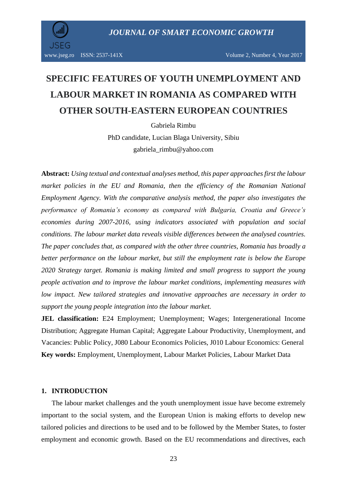

# **SPECIFIC FEATURES OF YOUTH UNEMPLOYMENT AND LABOUR MARKET IN ROMANIA AS COMPARED WITH OTHER SOUTH-EASTERN EUROPEAN COUNTRIES**

Gabriela Rimbu

PhD candidate, Lucian Blaga University, Sibiu gabriela\_rimbu@yahoo.com

**Abstract:** *Using textual and contextual analyses method, this paper approaches first the labour market policies in the EU and Romania, then the efficiency of the Romanian National Employment Agency. With the comparative analysis method, the paper also investigates the performance of Romania's economy as compared with Bulgaria, Croatia and Greece's economies during 2007-2016, using indicators associated with population and social conditions. The labour market data reveals visible differences between the analysed countries. The paper concludes that, as compared with the other three countries, Romania has broadly a better performance on the labour market, but still the employment rate is below the Europe 2020 Strategy target. Romania is making limited and small progress to support the young people activation and to improve the labour market conditions, implementing measures with low impact. New tailored strategies and innovative approaches are necessary in order to support the young people integration into the labour market.*

**JEL classification:** E24 Employment; Unemployment; Wages; Intergenerational Income Distribution; Aggregate Human Capital; Aggregate Labour Productivity, Unemployment, and Vacancies: Public Policy, J080 Labour Economics Policies, J010 Labour Economics: General **Key words:** Employment, Unemployment, Labour Market Policies, Labour Market Data

#### **1. INTRODUCTION**

The labour market challenges and the youth unemployment issue have become extremely important to the social system, and the European Union is making efforts to develop new tailored policies and directions to be used and to be followed by the Member States, to foster employment and economic growth. Based on the EU recommendations and directives, each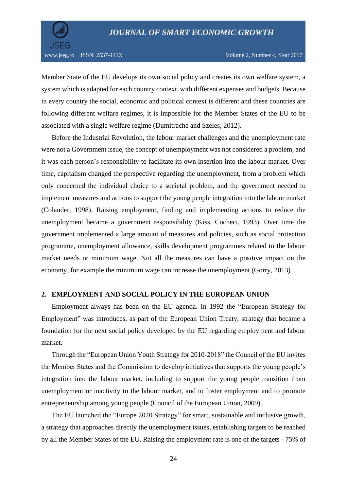

Member State of the EU develops its own social policy and creates its own welfare system, a system which is adapted for each country context, with different expenses and budgets. Because in every country the social, economic and political context is different and these countries are following different welfare regimes, it is impossible for the Member States of the EU to be associated with a single welfare regime (Dumitrache and Szeles, 2012).

Before the Industrial Revolution, the labour market challenges and the unemployment rate were not a Government issue, the concept of unemployment was not considered a problem, and it was each person's responsibility to facilitate its own insertion into the labour market. Over time, capitalism changed the perspective regarding the unemployment, from a problem which only concerned the individual choice to a societal problem, and the government needed to implement measures and actions to support the young people integration into the labour market (Colander, 1998). Raising employment, finding and implementing actions to reduce the unemployment became a government responsibility (Kiss, Cocheci, 1993). Over time the government implemented a large amount of measures and policies, such as social protection programme, unemployment allowance, skills development programmes related to the labour market needs or minimum wage. Not all the measures can have a positive impact on the economy, for example the minimum wage can increase the unemployment (Gorry, 2013).

### **2. EMPLOYMENT AND SOCIAL POLICY IN THE EUROPEAN UNION**

Employment always has been on the EU agenda. In 1992 the "European Strategy for Employment" was introduces, as part of the European Union Treaty, strategy that became a foundation for the next social policy developed by the EU regarding employment and labour market.

Through the "European Union Youth Strategy for 2010-2018" the Council of the EU invites the Member States and the Commission to develop initiatives that supports the young people's integration into the labour market, including to support the young people transition from unemployment or inactivity to the labour market, and to foster employment and to promote entrepreneurship among young people (Council of the European Union, 2009).

The EU launched the "Europe 2020 Strategy" for smart, sustainable and inclusive growth, a strategy that approaches directly the unemployment issues, establishing targets to be reached by all the Member States of the EU. Raising the employment rate is one of the targets - 75% of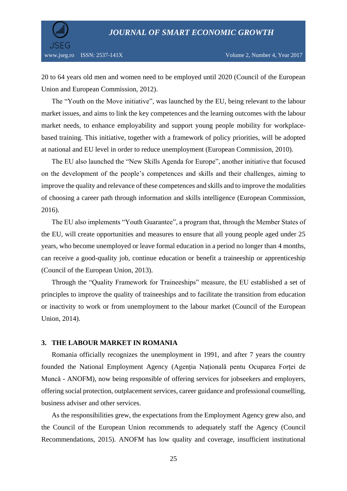

20 to 64 years old men and women need to be employed until 2020 (Council of the European Union and European Commission, 2012).

The "Youth on the Move initiative", was launched by the EU, being relevant to the labour market issues, and aims to link the key competences and the learning outcomes with the labour market needs, to enhance employability and support young people mobility for workplacebased training. This initiative, together with a framework of policy priorities, will be adopted at national and EU level in order to reduce unemployment (European Commission, 2010).

The EU also launched the "New Skills Agenda for Europe", another initiative that focused on the development of the people's competences and skills and their challenges, aiming to improve the quality and relevance of these competences and skills and to improve the modalities of choosing a career path through information and skills intelligence (European Commission, 2016).

The EU also implements "Youth Guarantee", a program that, through the Member States of the EU, will create opportunities and measures to ensure that all young people aged under 25 years, who become unemployed or leave formal education in a period no longer than 4 months, can receive a good-quality job, continue education or benefit a traineeship or apprenticeship (Council of the European Union, 2013).

Through the "Quality Framework for Traineeships" measure, the EU established a set of principles to improve the quality of traineeships and to facilitate the transition from education or inactivity to work or from unemployment to the labour market (Council of the European Union, 2014).

#### **3. THE LABOUR MARKET IN ROMANIA**

Romania officially recognizes the unemployment in 1991, and after 7 years the country founded the National Employment Agency (Agenția Națională pentu Ocuparea Forței de Muncă - ANOFM), now being responsible of offering services for jobseekers and employers, offering social protection, outplacement services, career guidance and professional counselling, business adviser and other services.

As the responsibilities grew, the expectations from the Employment Agency grew also, and the Council of the European Union recommends to adequately staff the Agency (Council Recommendations, 2015). ANOFM has low quality and coverage, insufficient institutional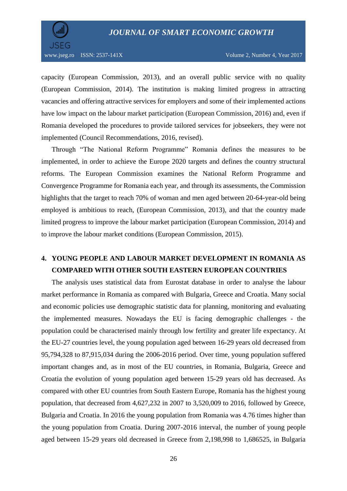

capacity (European Commission, 2013), and an overall public service with no quality (European Commission, 2014). The institution is making limited progress in attracting vacancies and offering attractive services for employers and some of their implemented actions have low impact on the labour market participation (European Commission, 2016) and, even if Romania developed the procedures to provide tailored services for jobseekers, they were not implemented (Council Recommendations, 2016, revised).

Through "The National Reform Programme" Romania defines the measures to be implemented, in order to achieve the Europe 2020 targets and defines the country structural reforms. The European Commission examines the National Reform Programme and Convergence Programme for Romania each year, and through its assessments, the Commission highlights that the target to reach 70% of woman and men aged between 20-64-year-old being employed is ambitious to reach, (European Commission, 2013), and that the country made limited progress to improve the labour market participation (European Commission, 2014) and to improve the labour market conditions (European Commission, 2015).

# **4. YOUNG PEOPLE AND LABOUR MARKET DEVELOPMENT IN ROMANIA AS COMPARED WITH OTHER SOUTH EASTERN EUROPEAN COUNTRIES**

The analysis uses statistical data from Eurostat database in order to analyse the labour market performance in Romania as compared with Bulgaria, Greece and Croatia. Many social and economic policies use demographic statistic data for planning, monitoring and evaluating the implemented measures. Nowadays the EU is facing demographic challenges - the population could be characterised mainly through low fertility and greater life expectancy. At the EU-27 countries level, the young population aged between 16-29 years old decreased from 95,794,328 to 87,915,034 during the 2006-2016 period. Over time, young population suffered important changes and, as in most of the EU countries, in Romania, Bulgaria, Greece and Croatia the evolution of young population aged between 15-29 years old has decreased. As compared with other EU countries from South Eastern Europe, Romania has the highest young population, that decreased from 4,627,232 in 2007 to 3,520,009 to 2016, followed by Greece, Bulgaria and Croatia. In 2016 the young population from Romania was 4.76 times higher than the young population from Croatia. During 2007-2016 interval, the number of young people aged between 15-29 years old decreased in Greece from 2,198,998 to 1,686525, in Bulgaria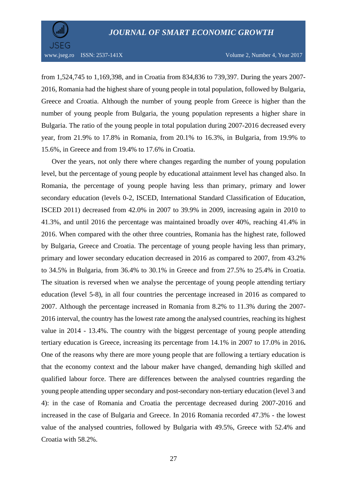

from 1,524,745 to 1,169,398, and in Croatia from 834,836 to 739,397. During the years 2007- 2016, Romania had the highest share of young people in total population, followed by Bulgaria, Greece and Croatia. Although the number of young people from Greece is higher than the number of young people from Bulgaria, the young population represents a higher share in Bulgaria. The ratio of the young people in total population during 2007-2016 decreased every year, from 21.9% to 17.8% in Romania, from 20.1% to 16.3%, in Bulgaria, from 19.9% to 15.6%, in Greece and from 19.4% to 17.6% in Croatia.

Over the years, not only there where changes regarding the number of young population level, but the percentage of young people by educational attainment level has changed also. In Romania, the percentage of young people having less than primary, primary and lower secondary education (levels 0-2, ISCED, International Standard Classification of Education, ISCED 2011) decreased from 42.0% in 2007 to 39.9% in 2009, increasing again in 2010 to 41.3%, and until 2016 the percentage was maintained broadly over 40%, reaching 41.4% in 2016. When compared with the other three countries, Romania has the highest rate, followed by Bulgaria, Greece and Croatia. The percentage of young people having less than primary, primary and lower secondary education decreased in 2016 as compared to 2007, from 43.2% to 34.5% in Bulgaria, from 36.4% to 30.1% in Greece and from 27.5% to 25.4% in Croatia. The situation is reversed when we analyse the percentage of young people attending tertiary education (level 5-8), in all four countries the percentage increased in 2016 as compared to 2007. Although the percentage increased in Romania from 8.2% to 11.3% during the 2007- 2016 interval, the country has the lowest rate among the analysed countries, reaching its highest value in 2014 - 13.4%. The country with the biggest percentage of young people attending tertiary education is Greece, increasing its percentage from 14.1% in 2007 to 17.0% in 2016**.** One of the reasons why there are more young people that are following a tertiary education is that the economy context and the labour maker have changed, demanding high skilled and qualified labour force. There are differences between the analysed countries regarding the young people attending upper secondary and post-secondary non-tertiary education (level 3 and 4): in the case of Romania and Croatia the percentage decreased during 2007-2016 and increased in the case of Bulgaria and Greece. In 2016 Romania recorded 47.3% - the lowest value of the analysed countries, followed by Bulgaria with 49.5%, Greece with 52.4% and Croatia with 58.2%.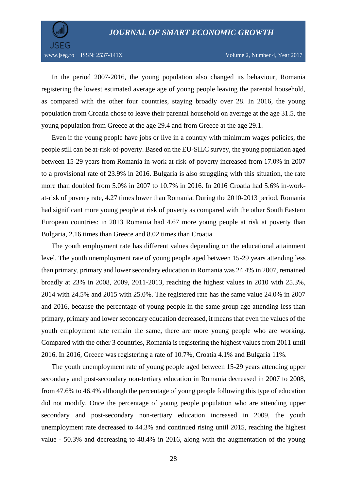

In the period 2007-2016, the young population also changed its behaviour, Romania registering the lowest estimated average age of young people leaving the parental household, as compared with the other four countries, staying broadly over 28. In 2016, the young population from Croatia chose to leave their parental household on average at the age 31.5, the young population from Greece at the age 29.4 and from Greece at the age 29.1.

Even if the young people have jobs or live in a country with minimum wages policies, the people still can be at-risk-of-poverty. Based on the EU-SILC survey, the young population aged between 15-29 years from Romania in-work at-risk-of-poverty increased from 17.0% in 2007 to a provisional rate of 23.9% in 2016. Bulgaria is also struggling with this situation, the rate more than doubled from 5.0% in 2007 to 10.7% in 2016. In 2016 Croatia had 5.6% in-workat-risk of poverty rate, 4.27 times lower than Romania. During the 2010-2013 period, Romania had significant more young people at risk of poverty as compared with the other South Eastern European countries: in 2013 Romania had 4.67 more young people at risk at poverty than Bulgaria, 2.16 times than Greece and 8.02 times than Croatia.

The youth employment rate has different values depending on the educational attainment level. The youth unemployment rate of young people aged between 15-29 years attending less than primary, primary and lower secondary education in Romania was 24.4% in 2007, remained broadly at 23% in 2008, 2009, 2011-2013, reaching the highest values in 2010 with 25.3%, 2014 with 24.5% and 2015 with 25.0%. The registered rate has the same value 24.0% in 2007 and 2016, because the percentage of young people in the same group age attending less than primary, primary and lower secondary education decreased, it means that even the values of the youth employment rate remain the same, there are more young people who are working. Compared with the other 3 countries, Romania is registering the highest values from 2011 until 2016. In 2016, Greece was registering a rate of 10.7%, Croatia 4.1% and Bulgaria 11%.

The youth unemployment rate of young people aged between 15-29 years attending upper secondary and post-secondary non-tertiary education in Romania decreased in 2007 to 2008, from 47.6% to 46.4% although the percentage of young people following this type of education did not modify. Once the percentage of young people population who are attending upper secondary and post-secondary non-tertiary education increased in 2009, the youth unemployment rate decreased to 44.3% and continued rising until 2015, reaching the highest value - 50.3% and decreasing to 48.4% in 2016, along with the augmentation of the young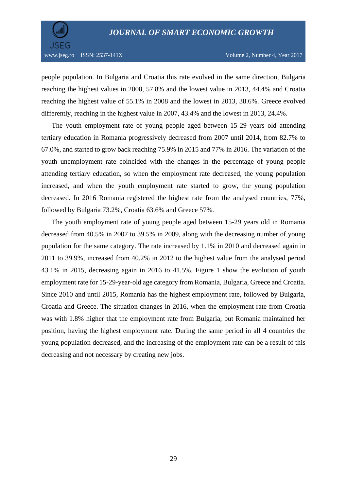

people population. In Bulgaria and Croatia this rate evolved in the same direction, Bulgaria reaching the highest values in 2008, 57.8% and the lowest value in 2013, 44.4% and Croatia reaching the highest value of 55.1% in 2008 and the lowest in 2013, 38.6%. Greece evolved differently, reaching in the highest value in 2007, 43.4% and the lowest in 2013, 24.4%.

The youth employment rate of young people aged between 15-29 years old attending tertiary education in Romania progressively decreased from 2007 until 2014, from 82.7% to 67.0%, and started to grow back reaching 75.9% in 2015 and 77% in 2016. The variation of the youth unemployment rate coincided with the changes in the percentage of young people attending tertiary education, so when the employment rate decreased, the young population increased, and when the youth employment rate started to grow, the young population decreased. In 2016 Romania registered the highest rate from the analysed countries, 77%, followed by Bulgaria 73.2%, Croatia 63.6% and Greece 57%.

The youth employment rate of young people aged between 15-29 years old in Romania decreased from 40.5% in 2007 to 39.5% in 2009, along with the decreasing number of young population for the same category. The rate increased by 1.1% in 2010 and decreased again in 2011 to 39.9%, increased from 40.2% in 2012 to the highest value from the analysed period 43.1% in 2015, decreasing again in 2016 to 41.5%. Figure 1 show the evolution of youth employment rate for 15-29-year-old age category from Romania, Bulgaria, Greece and Croatia. Since 2010 and until 2015, Romania has the highest employment rate, followed by Bulgaria, Croatia and Greece. The situation changes in 2016, when the employment rate from Croatia was with 1.8% higher that the employment rate from Bulgaria, but Romania maintained her position, having the highest employment rate. During the same period in all 4 countries the young population decreased, and the increasing of the employment rate can be a result of this decreasing and not necessary by creating new jobs.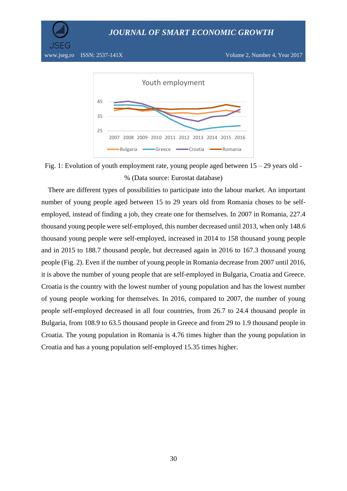



Fig. 1: Evolution of youth employment rate, young people aged between 15 – 29 years old - % (Data source: Eurostat database)

There are different types of possibilities to participate into the labour market. An important number of young people aged between 15 to 29 years old from Romania choses to be selfemployed, instead of finding a job, they create one for themselves. In 2007 in Romania, 227.4 thousand young people were self-employed, this number decreased until 2013, when only 148.6 thousand young people were self-employed, increased in 2014 to 158 thousand young people and in 2015 to 188.7 thousand people, but decreased again in 2016 to 167.3 thousand young people (Fig. 2). Even if the number of young people in Romania decrease from 2007 until 2016, it is above the number of young people that are self-employed in Bulgaria, Croatia and Greece. Croatia is the country with the lowest number of young population and has the lowest number of young people working for themselves. In 2016, compared to 2007, the number of young people self-employed decreased in all four countries, from 26.7 to 24.4 thousand people in Bulgaria, from 108.9 to 63.5 thousand people in Greece and from 29 to 1.9 thousand people in Croatia. The young population in Romania is 4.76 times higher than the young population in Croatia and has a young population self-employed 15.35 times higher.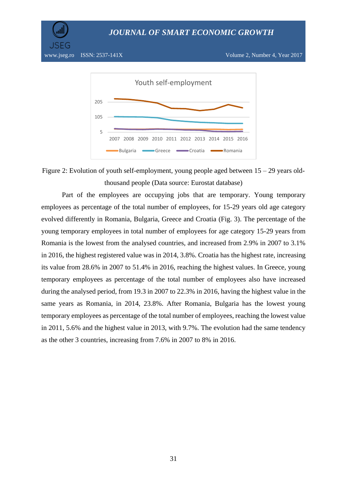

5

Figure 2: Evolution of youth self-employment, young people aged between 15 – 29 years oldthousand people (Data source: Eurostat database)

2007 2008 2009 2010 2011 2012 2013 2014 2015 2016

Bulgaria Greece **Croatia** Romania

Part of the employees are occupying jobs that are temporary. Young temporary employees as percentage of the total number of employees, for 15-29 years old age category evolved differently in Romania, Bulgaria, Greece and Croatia (Fig. 3). The percentage of the young temporary employees in total number of employees for age category 15-29 years from Romania is the lowest from the analysed countries, and increased from 2.9% in 2007 to 3.1% in 2016, the highest registered value was in 2014, 3.8%. Croatia has the highest rate, increasing its value from 28.6% in 2007 to 51.4% in 2016, reaching the highest values. In Greece, young temporary employees as percentage of the total number of employees also have increased during the analysed period, from 19.3 in 2007 to 22.3% in 2016, having the highest value in the same years as Romania, in 2014, 23.8%. After Romania, Bulgaria has the lowest young temporary employees as percentage of the total number of employees, reaching the lowest value in 2011, 5.6% and the highest value in 2013, with 9.7%. The evolution had the same tendency as the other 3 countries, increasing from 7.6% in 2007 to 8% in 2016.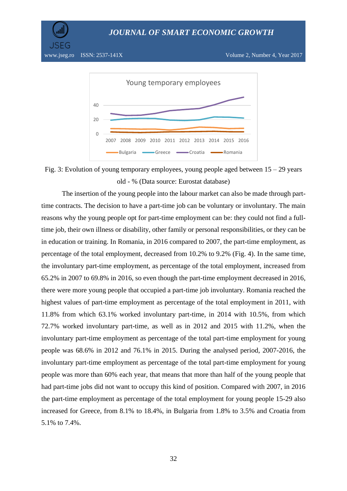



Fig. 3: Evolution of young temporary employees, young people aged between  $15 - 29$  years old - % (Data source: Eurostat database)

The insertion of the young people into the labour market can also be made through parttime contracts. The decision to have a part-time job can be voluntary or involuntary. The main reasons why the young people opt for part-time employment can be: they could not find a fulltime job, their own illness or disability, other family or personal responsibilities, or they can be in education or training. In Romania, in 2016 compared to 2007, the part-time employment, as percentage of the total employment, decreased from 10.2% to 9.2% (Fig. 4). In the same time, the involuntary part-time employment, as percentage of the total employment, increased from 65.2% in 2007 to 69.8% in 2016, so even though the part-time employment decreased in 2016, there were more young people that occupied a part-time job involuntary. Romania reached the highest values of part-time employment as percentage of the total employment in 2011, with 11.8% from which 63.1% worked involuntary part-time, in 2014 with 10.5%, from which 72.7% worked involuntary part-time, as well as in 2012 and 2015 with 11.2%, when the involuntary part-time employment as percentage of the total part-time employment for young people was 68.6% in 2012 and 76.1% in 2015. During the analysed period, 2007-2016, the involuntary part-time employment as percentage of the total part-time employment for young people was more than 60% each year, that means that more than half of the young people that had part-time jobs did not want to occupy this kind of position. Compared with 2007, in 2016 the part-time employment as percentage of the total employment for young people 15-29 also increased for Greece, from 8.1% to 18.4%, in Bulgaria from 1.8% to 3.5% and Croatia from 5.1% to 7.4%.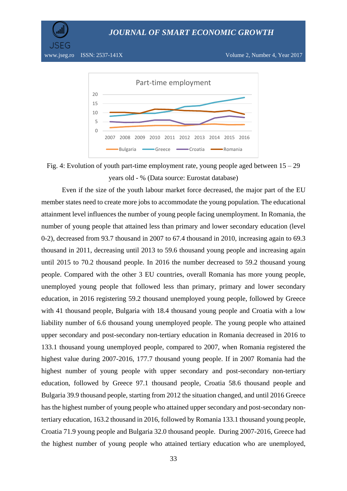JSEG



Fig. 4: Evolution of youth part-time employment rate, young people aged between 15 – 29 years old - % (Data source: Eurostat database)

Even if the size of the youth labour market force decreased, the major part of the EU member states need to create more jobs to accommodate the young population. The educational attainment level influences the number of young people facing unemployment. In Romania, the number of young people that attained less than primary and lower secondary education (level 0-2), decreased from 93.7 thousand in 2007 to 67.4 thousand in 2010, increasing again to 69.3 thousand in 2011, decreasing until 2013 to 59.6 thousand young people and increasing again until 2015 to 70.2 thousand people. In 2016 the number decreased to 59.2 thousand young people. Compared with the other 3 EU countries, overall Romania has more young people, unemployed young people that followed less than primary, primary and lower secondary education, in 2016 registering 59.2 thousand unemployed young people, followed by Greece with 41 thousand people, Bulgaria with 18.4 thousand young people and Croatia with a low liability number of 6.6 thousand young unemployed people. The young people who attained upper secondary and post-secondary non-tertiary education in Romania decreased in 2016 to 133.1 thousand young unemployed people, compared to 2007, when Romania registered the highest value during 2007-2016, 177.7 thousand young people. If in 2007 Romania had the highest number of young people with upper secondary and post-secondary non-tertiary education, followed by Greece 97.1 thousand people, Croatia 58.6 thousand people and Bulgaria 39.9 thousand people, starting from 2012 the situation changed, and until 2016 Greece has the highest number of young people who attained upper secondary and post-secondary nontertiary education, 163.2 thousand in 2016, followed by Romania 133.1 thousand young people, Croatia 71.9 young people and Bulgaria 32.0 thousand people. During 2007-2016, Greece had the highest number of young people who attained tertiary education who are unemployed,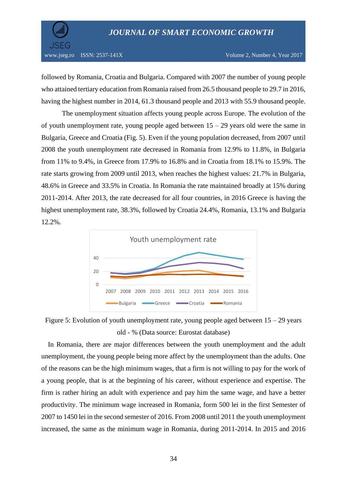

www.jseg.ro ISSN: 2537-141X Volume 2, Number 4, Year 2017

followed by Romania, Croatia and Bulgaria. Compared with 2007 the number of young people who attained tertiary education from Romania raised from 26.5 thousand people to 29.7 in 2016, having the highest number in 2014, 61.3 thousand people and 2013 with 55.9 thousand people.

The unemployment situation affects young people across Europe. The evolution of the of youth unemployment rate, young people aged between  $15 - 29$  years old were the same in Bulgaria, Greece and Croatia (Fig. 5). Even if the young population decreased, from 2007 until 2008 the youth unemployment rate decreased in Romania from 12.9% to 11.8%, in Bulgaria from 11% to 9.4%, in Greece from 17.9% to 16.8% and in Croatia from 18.1% to 15.9%. The rate starts growing from 2009 until 2013, when reaches the highest values: 21.7% in Bulgaria, 48.6% in Greece and 33.5% in Croatia. In Romania the rate maintained broadly at 15% during 2011-2014. After 2013, the rate decreased for all four countries, in 2016 Greece is having the highest unemployment rate, 38.3%, followed by Croatia 24.4%, Romania, 13.1% and Bulgaria 12.2%.



Figure 5: Evolution of youth unemployment rate, young people aged between  $15 - 29$  years old - % (Data source: Eurostat database)

In Romania, there are major differences between the youth unemployment and the adult unemployment, the young people being more affect by the unemployment than the adults. One of the reasons can be the high minimum wages, that a firm is not willing to pay for the work of a young people, that is at the beginning of his career, without experience and expertise. The firm is rather hiring an adult with experience and pay him the same wage, and have a better productivity. The minimum wage increased in Romania, form 500 lei in the first Semester of 2007 to 1450 lei in the second semester of 2016. From 2008 until 2011 the youth unemployment increased, the same as the minimum wage in Romania, during 2011-2014. In 2015 and 2016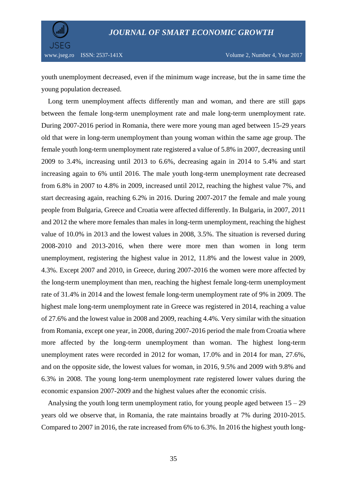



youth unemployment decreased, even if the minimum wage increase, but the in same time the young population decreased.

Long term unemployment affects differently man and woman, and there are still gaps between the female long-term unemployment rate and male long-term unemployment rate. During 2007-2016 period in Romania, there were more young man aged between 15-29 years old that were in long-term unemployment than young woman within the same age group. The female youth long-term unemployment rate registered a value of 5.8% in 2007, decreasing until 2009 to 3.4%, increasing until 2013 to 6.6%, decreasing again in 2014 to 5.4% and start increasing again to 6% until 2016. The male youth long-term unemployment rate decreased from 6.8% in 2007 to 4.8% in 2009, increased until 2012, reaching the highest value 7%, and start decreasing again, reaching 6.2% in 2016. During 2007-2017 the female and male young people from Bulgaria, Greece and Croatia were affected differently. In Bulgaria, in 2007, 2011 and 2012 the where more females than males in long-term unemployment, reaching the highest value of 10.0% in 2013 and the lowest values in 2008, 3.5%. The situation is reversed during 2008-2010 and 2013-2016, when there were more men than women in long term unemployment, registering the highest value in 2012, 11.8% and the lowest value in 2009, 4.3%. Except 2007 and 2010, in Greece, during 2007-2016 the women were more affected by the long-term unemployment than men, reaching the highest female long-term unemployment rate of 31.4% in 2014 and the lowest female long-term unemployment rate of 9% in 2009. The highest male long-term unemployment rate in Greece was registered in 2014, reaching a value of 27.6% and the lowest value in 2008 and 2009, reaching 4.4%. Very similar with the situation from Romania, except one year, in 2008, during 2007-2016 period the male from Croatia where more affected by the long-term unemployment than woman. The highest long-term unemployment rates were recorded in 2012 for woman, 17.0% and in 2014 for man, 27.6%, and on the opposite side, the lowest values for woman, in 2016, 9.5% and 2009 with 9.8% and 6.3% in 2008. The young long-term unemployment rate registered lower values during the economic expansion 2007-2009 and the highest values after the economic crisis.

Analysing the youth long term unemployment ratio, for young people aged between  $15 - 29$ years old we observe that, in Romania, the rate maintains broadly at 7% during 2010-2015. Compared to 2007 in 2016, the rate increased from 6% to 6.3%. In 2016 the highest youth long-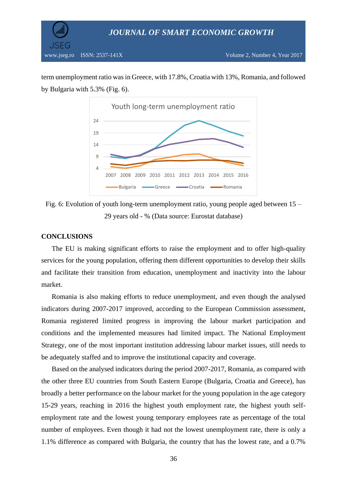

term unemployment ratio was in Greece, with 17.8%, Croatia with 13%, Romania, and followed by Bulgaria with 5.3% (Fig. 6).



Fig. 6: Evolution of youth long-term unemployment ratio, young people aged between 15 – 29 years old - % (Data source: Eurostat database)

#### **CONCLUSIONS**

The EU is making significant efforts to raise the employment and to offer high-quality services for the young population, offering them different opportunities to develop their skills and facilitate their transition from education, unemployment and inactivity into the labour market.

Romania is also making efforts to reduce unemployment, and even though the analysed indicators during 2007-2017 improved, according to the European Commission assessment, Romania registered limited progress in improving the labour market participation and conditions and the implemented measures had limited impact. The National Employment Strategy, one of the most important institution addressing labour market issues, still needs to be adequately staffed and to improve the institutional capacity and coverage.

Based on the analysed indicators during the period 2007-2017, Romania, as compared with the other three EU countries from South Eastern Europe (Bulgaria, Croatia and Greece), has broadly a better performance on the labour market for the young population in the age category 15-29 years, reaching in 2016 the highest youth employment rate, the highest youth selfemployment rate and the lowest young temporary employees rate as percentage of the total number of employees. Even though it had not the lowest unemployment rate, there is only a 1.1% difference as compared with Bulgaria, the country that has the lowest rate, and a 0.7%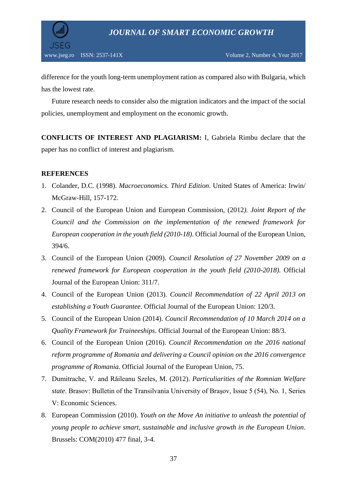

difference for the youth long-term unemployment ration as compared also with Bulgaria, which has the lowest rate.

Future research needs to consider also the migration indicators and the impact of the social policies, unemployment and employment on the economic growth.

**CONFLICTS OF INTEREST AND PLAGIARISM:** I, Gabriela Rimbu declare that the paper has no conflict of interest and plagiarism.

## **REFERENCES**

- 1. Colander, D.C. (1998). *Macroeconomics. Third Edition*. United States of America: Irwin/ McGraw-Hill, 157-172.
- 2. Council of the European Union and European Commission, (2012*). Joint Report of the Council and the Commission on the implementation of the renewed framework for European cooperation in the youth field (2010-18)*. Official Journal of the European Union, 394/6.
- 3. Council of the European Union (2009). *Council Resolution of 27 November 2009 on a renewed framework for European cooperation in the youth field (2010-2018)*. Official Journal of the European Union: 311/7.
- 4. Council of the European Union (2013). *Council Recommendation of 22 April 2013 on establishing a Youth Guarantee*. Official Journal of the European Union: 120/3.
- 5. Council of the European Union (2014). *Council Recommendation of 10 March 2014 on a Quality Framework for Traineeships*. Official Journal of the European Union: 88/3.
- 6. Council of the European Union (2016). *Council Recommendation on the 2016 national reform programme of Romania and delivering a Council opinion on the 2016 convergence programme of Romania.* Official Journal of the European Union, 75.
- 7. Dumitrache, V. and Răileanu Szeles, M. (2012). *Particuliarities of the Romnian Welfare state*. Brasov: Bulletin of the Transilvania University of Braşov, Issue 5 (54), No. 1, Series V: Economic Sciences.
- 8. European Commission (2010). *Youth on the Move An initiative to unleash the potential of young people to achieve smart, sustainable and inclusive growth in the European Union*. Brussels: COM(2010) 477 final, 3-4.